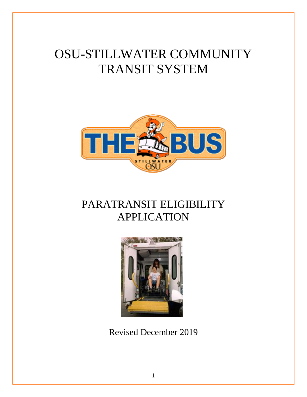# OSU-STILLWATER COMMUNITY TRANSIT SYSTEM



## PARATRANSIT ELIGIBILITY APPLICATION



Revised December 2019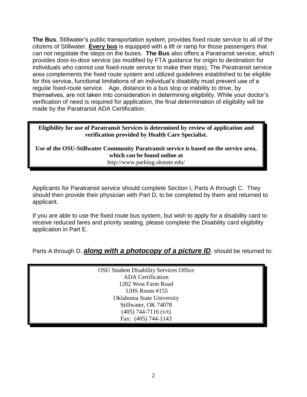**The Bus**, Stillwater's public transportation system, provides fixed route service to all of the citizens of Stillwater. **Every bus** is equipped with a lift or ramp for those passengers that can not negotiate the steps on the buses. **The Bus** also offers a Paratransit service, which provides door-to-door service (as modified by FTA guidance for origin to destination for individuals who cannot use fixed-route service to make their trips). The Paratransit service area complements the fixed route system and utilized guidelines established to be eligible for this service, functional limitations of an individual's disability must prevent use of a regular fixed-route service. Age, distance to a bus stop or inability to drive, by themselves, are not taken into consideration in determining eligibility. While your doctor's verification of need is required for application, the final determination of eligibility will be made by the Paratransit ADA Certification.

**Eligibility for use of Paratransit Services is determined by review of application and verification provided by Health Care Specialist.** 

**Use of the OSU-Stillwater Community Paratransit service is based on the service area, which can be found online at**  http://www.parking.okstate.edu/

Applicants for Paratransit service should complete Section I, Parts A through C. They should then provide their physician with Part D, to be completed by them and returned to applicant.

If you are able to use the fixed route bus system, but wish to apply for a disability card to receive reduced fares and priority seating, please complete the Disability card eligibility application in Part E.

Parts A through D, **along with a photocopy of a picture ID**, should be returned to:

| <b>OSU Student Disability Services Office</b> |
|-----------------------------------------------|
| <b>ADA</b> Certification                      |
| 1202 West Farm Road                           |
| UHS Room #155                                 |
| Oklahoma State University                     |
| Stillwater, OK 74078                          |
| $(405)$ 744-7116 (v/t)                        |
| Fax: (405) 744-1143                           |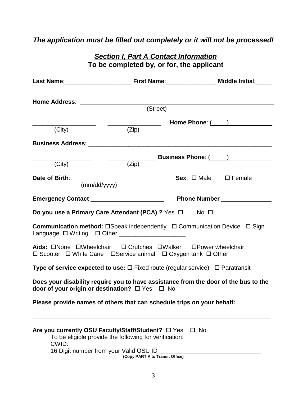## *The application must be filled out completely or it will not be processed!*

|              | (Street)                                                                                                                                                        |                                        |
|--------------|-----------------------------------------------------------------------------------------------------------------------------------------------------------------|----------------------------------------|
|              |                                                                                                                                                                 | Home Phone: ( )                        |
| (City)       | (Zip)                                                                                                                                                           |                                        |
|              |                                                                                                                                                                 |                                        |
|              |                                                                                                                                                                 |                                        |
| (City)       | (Zip)                                                                                                                                                           |                                        |
|              |                                                                                                                                                                 | <b>Sex</b> : $\Box$ Male $\Box$ Female |
| (mm/dd/yyyy) |                                                                                                                                                                 |                                        |
|              | Emergency Contact __________________________                                                                                                                    | Phone Number _______________           |
|              | Do you use a Primary Care Attendant (PCA) ? Yes □ No □                                                                                                          |                                        |
|              | <b>Communication method:</b> $\Box$ Speak independently $\Box$ Communication Device $\Box$ Sign<br>Language $\Box$ Writing $\Box$ Other _______________________ |                                        |
|              | Aids: ONone OWheelchair O Crutches OWalker OPower wheelchair<br>□ Scooter □ White Cane □ Service animal □ Oxygen tank □ Other __________                        |                                        |
|              | <b>Type of service expected to use:</b> $\square$ Fixed route (regular service) $\square$ Paratransit                                                           |                                        |
|              | Does your disability require you to have assistance from the door of the bus to the<br>door of your origin or destination? □ Yes □ No                           |                                        |
|              | Please provide names of others that can schedule trips on your behalf:                                                                                          |                                        |
| CWID:        | Are you currently OSU Faculty/Staff/Student? □ Yes<br>To be eligible provide the following for verification:<br>16 Digit number from your Valid OSU ID_         | $\Box$ No                              |

*Section I, Part A Contact Information* **To be completed by, or for, the applicant**

**(Copy PART A to Transit Office)**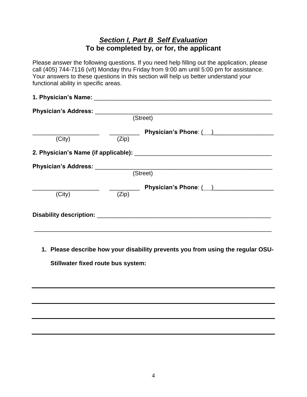## *Section I, Part B Self Evaluation* **To be completed by, or for, the applicant**

Please answer the following questions. If you need help filling out the application, please call (405) 744-7116 (v/t) Monday thru Friday from 9:00 am until 5:00 pm for assistance. Your answers to these questions in this section will help us better understand your functional ability in specific areas.

| (Zip) | (Street)<br>Physician's Phone: ( ) |
|-------|------------------------------------|
|       |                                    |
|       |                                    |
|       |                                    |
|       |                                    |
|       |                                    |
|       |                                    |
|       | Physician's Phone: ( )             |
|       |                                    |
|       | (Street)<br>(Zip)                  |

**1. Please describe how your disability prevents you from using the regular OSU-**

**Stillwater fixed route bus system:**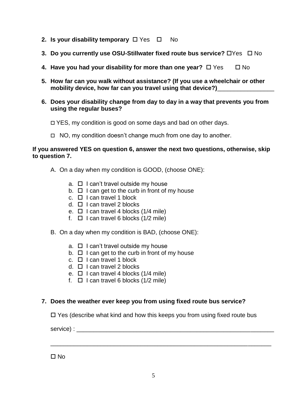- **2. Is your disability temporary**  $\Box$  Yes  $\Box$  No
- **3. Do you currently use OSU-Stillwater fixed route bus service?**  $\Box$  Yes  $\Box$  No
- **4. Have you had your disability for more than one year?**  $\Box$  Yes  $\Box$  No
- **5. How far can you walk without assistance? (If you use a wheelchair or other mobility device, how far can you travel using that device?)**\_\_\_\_\_\_\_\_\_\_\_\_\_\_\_\_\_
- **6. Does your disability change from day to day in a way that prevents you from using the regular buses?**

YES, my condition is good on some days and bad on other days.

 $\Box$  NO, my condition doesn't change much from one day to another.

#### **If you answered YES on question 6, answer the next two questions, otherwise, skip to question 7.**

- A. On a day when my condition is GOOD, (choose ONE):
	- $a. \Box$  I can't travel outside my house
	- $b. \Box$  I can get to the curb in front of my house
	- c.  $\Box$  I can travel 1 block
	- d.  $\Box$  I can travel 2 blocks
	- e.  $\Box$  I can travel 4 blocks (1/4 mile)
	- f.  $\Box$  I can travel 6 blocks (1/2 mile)
- B. On a day when my condition is BAD, (choose ONE):
	- $a. \Box$  I can't travel outside my house
	- $b. \Box$  I can get to the curb in front of my house
	- c.  $\Box$  I can travel 1 block
	- d.  $\Box$  I can travel 2 blocks
	- e.  $\Box$  I can travel 4 blocks (1/4 mile)
	- f.  $\Box$  I can travel 6 blocks (1/2 mile)

#### **7. Does the weather ever keep you from using fixed route bus service?**

 $\Box$  Yes (describe what kind and how this keeps you from using fixed route bus

\_\_\_\_\_\_\_\_\_\_\_\_\_\_\_\_\_\_\_\_\_\_\_\_\_\_\_\_\_\_\_\_\_\_\_\_\_\_\_\_\_\_\_\_\_\_\_\_\_\_\_\_\_\_\_\_\_\_\_\_\_\_\_\_\_\_

service) : \_\_\_\_\_\_\_\_\_\_\_\_\_\_\_\_\_\_\_\_\_\_\_\_\_\_\_\_\_\_\_\_\_\_\_\_\_\_\_\_\_\_\_\_\_\_\_\_\_\_\_\_\_\_\_\_\_\_\_

 $\Box$  No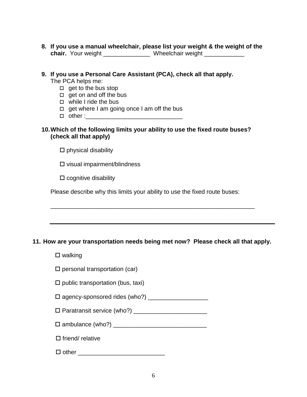**8. If you use a manual wheelchair, please list your weight & the weight of the chair.** Your weight \_\_\_\_\_\_\_\_\_\_\_\_\_\_ Wheelchair weight \_\_\_\_\_\_\_\_\_\_\_\_

**9. If you use a Personal Care Assistant (PCA), check all that apply.** The PCA helps me:  $\Box$  get to the bus stop  $\Box$  get on and off the bus □ while I ride the bus  $\Box$  get where I am going once I am off the bus  $\Box$  other :

#### **10.Which of the following limits your ability to use the fixed route buses? (check all that apply)**

 $\square$  physical disability

 $\square$  visual impairment/blindness

 $\square$  cognitive disability

Please describe why this limits your ability to use the fixed route buses:

#### **11. How are your transportation needs being met now? Please check all that apply.**

\_\_\_\_\_\_\_\_\_\_\_\_\_\_\_\_\_\_\_\_\_\_\_\_\_\_\_\_\_\_\_\_\_\_\_\_\_\_\_\_\_\_\_\_\_\_\_\_\_\_\_\_\_\_\_\_\_\_\_\_\_

 $\square$  walking

 $\square$  personal transportation (car)

 $\square$  public transportation (bus, taxi)

agency-sponsored rides (who?) \_\_\_\_\_\_\_\_\_\_\_\_\_\_\_\_\_\_

Paratransit service (who?) \_\_\_\_\_\_\_\_\_\_\_\_\_\_\_\_\_\_\_\_\_\_

ambulance (who?) \_\_\_\_\_\_\_\_\_\_\_\_\_\_\_\_\_\_\_\_\_\_\_\_\_\_\_\_

 $\square$  friend/ relative

 $\Box$  other  $\Box$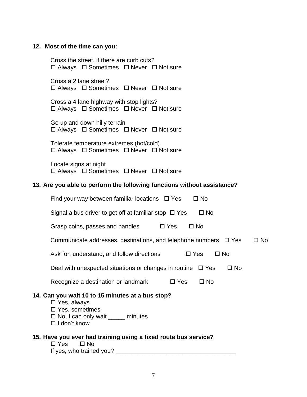## **12. Most of the time can you:**

| Cross the street, if there are curb cuts?<br>$\Box$ Always $\Box$ Sometimes $\Box$ Never $\Box$ Not sure                                                                    |
|-----------------------------------------------------------------------------------------------------------------------------------------------------------------------------|
| Cross a 2 lane street?<br>□ Always □ Sometimes □ Never □ Not sure                                                                                                           |
| Cross a 4 lane highway with stop lights?<br>$\Box$ Always $\Box$ Sometimes $\Box$ Never $\Box$ Not sure                                                                     |
| Go up and down hilly terrain<br>□ Always □ Sometimes □ Never □ Not sure                                                                                                     |
| Tolerate temperature extremes (hot/cold)<br>$\Box$ Always $\Box$ Sometimes $\Box$ Never $\Box$ Not sure                                                                     |
| Locate signs at night<br>$\Box$ Always $\Box$ Sometimes $\Box$ Never $\Box$ Not sure                                                                                        |
| 13. Are you able to perform the following functions without assistance?                                                                                                     |
| Find your way between familiar locations $\Box$ Yes<br>$\square$ No                                                                                                         |
| Signal a bus driver to get off at familiar stop $\Box$ Yes<br>$\square$ No                                                                                                  |
| $\square$ Yes<br>Grasp coins, passes and handles<br>$\square$ No                                                                                                            |
| Communicate addresses, destinations, and telephone numbers $\Box$ Yes<br>$\square$ No                                                                                       |
| Ask for, understand, and follow directions<br>$\square$ Yes<br>$\Box$ No                                                                                                    |
| Deal with unexpected situations or changes in routine $\Box$ Yes<br>$\square$ No                                                                                            |
| Recognize a destination or landmark<br>$\square$ Yes<br>$\square$ No                                                                                                        |
| 14. Can you wait 10 to 15 minutes at a bus stop?<br>□ Yes, always<br>$\square$ Yes, sometimes<br>$\square$ No, I can only wait $\_\_\_\_\_\$ minutes<br>$\Box$ I don't know |
| 15. Have you ever had training using a fixed route bus service?<br>$\Box$ Yes $\Box$ No                                                                                     |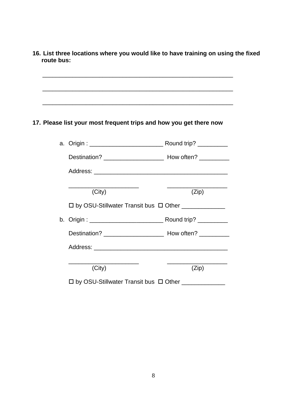**16. List three locations where you would like to have training on using the fixed route bus:** 

## **17. Please list your most frequent trips and how you get there now**

 $\frac{1}{\sqrt{2}}$  ,  $\frac{1}{\sqrt{2}}$  ,  $\frac{1}{\sqrt{2}}$  ,  $\frac{1}{\sqrt{2}}$  ,  $\frac{1}{\sqrt{2}}$  ,  $\frac{1}{\sqrt{2}}$  ,  $\frac{1}{\sqrt{2}}$  ,  $\frac{1}{\sqrt{2}}$  ,  $\frac{1}{\sqrt{2}}$  ,  $\frac{1}{\sqrt{2}}$  ,  $\frac{1}{\sqrt{2}}$  ,  $\frac{1}{\sqrt{2}}$  ,  $\frac{1}{\sqrt{2}}$  ,  $\frac{1}{\sqrt{2}}$  ,  $\frac{1}{\sqrt{2}}$ 

| a.   Origin : ______________________________ Round trip? __________    |       |
|------------------------------------------------------------------------|-------|
|                                                                        |       |
|                                                                        |       |
| (City)                                                                 | (Zip) |
| $\Box$ by OSU-Stillwater Transit bus $\Box$ Other _____________        |       |
| b.   Origin : ________________________________ Round trip? ___________ |       |
|                                                                        |       |
|                                                                        |       |
| (City)                                                                 | (Zip) |
| $\square$ by OSU-Stillwater Transit bus $\ \square$ Other $\_\_$       |       |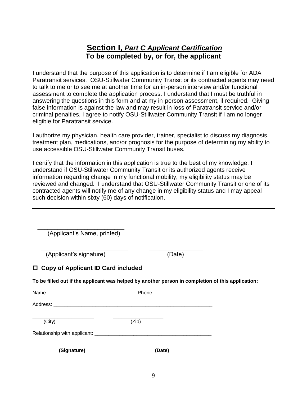## **Section I,** *Part C Applicant Certification* **To be completed by, or for, the applicant**

I understand that the purpose of this application is to determine if I am eligible for ADA Paratransit services. OSU-Stillwater Community Transit or its contracted agents may need to talk to me or to see me at another time for an in-person interview and/or functional assessment to complete the application process. I understand that I must be truthful in answering the questions in this form and at my in-person assessment, if required. Giving false information is against the law and may result in loss of Paratransit service and/or criminal penalties. I agree to notify OSU-Stillwater Community Transit if I am no longer eligible for Paratransit service.

I authorize my physician, health care provider, trainer, specialist to discuss my diagnosis, treatment plan, medications, and/or prognosis for the purpose of determining my ability to use accessible OSU-Stillwater Community Transit buses.

I certify that the information in this application is true to the best of my knowledge. I understand if OSU-Stillwater Community Transit or its authorized agents receive information regarding change in my functional mobility, my eligibility status may be reviewed and changed. I understand that OSU-Stillwater Community Transit or one of its contracted agents will notify me of any change in my eligibility status and I may appeal such decision within sixty (60) days of notification.

| (City)                                                                                            | (Zip)  |  |
|---------------------------------------------------------------------------------------------------|--------|--|
|                                                                                                   |        |  |
|                                                                                                   |        |  |
| To be filled out if the applicant was helped by another person in completion of this application: |        |  |
| $\Box$ Copy of Applicant ID Card included                                                         |        |  |
| (Applicant's signature)                                                                           | (Date) |  |
| (Applicant's Name, printed)                                                                       |        |  |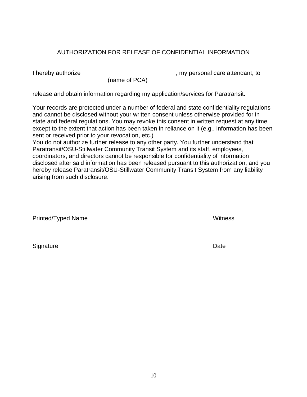#### AUTHORIZATION FOR RELEASE OF CONFIDENTIAL INFORMATION

I hereby authorize \_\_\_\_\_\_\_\_\_\_\_\_\_\_\_\_\_\_\_\_\_\_\_\_\_\_\_\_, my personal care attendant, to

(name of PCA)

release and obtain information regarding my application/services for Paratransit.

Your records are protected under a number of federal and state confidentiality regulations and cannot be disclosed without your written consent unless otherwise provided for in state and federal regulations. You may revoke this consent in written request at any time except to the extent that action has been taken in reliance on it (e.g., information has been sent or received prior to your revocation, etc.)

You do not authorize further release to any other party. You further understand that Paratransit/OSU-Stillwater Community Transit System and its staff, employees, coordinators, and directors cannot be responsible for confidentiality of information disclosed after said information has been released pursuant to this authorization, and you hereby release Paratransit/OSU-Stillwater Community Transit System from any liability arising from such disclosure.

 $\overline{a}$ Printed/Typed Name Witness

 $\overline{a}$ 

Signature Date **Date**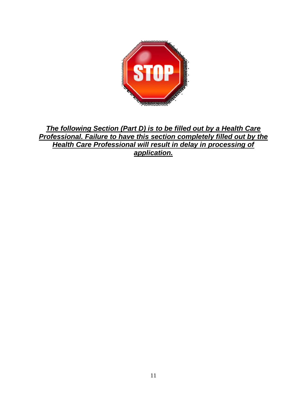

*The following Section (Part D) is to be filled out by a Health Care Professional. Failure to have this section completely filled out by the Health Care Professional will result in delay in processing of application.*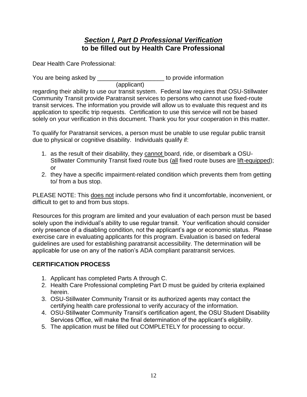## *Section I, Part D Professional Verification* **to be filled out by Health Care Professional**

Dear Health Care Professional:

You are being asked by \_\_\_\_\_\_\_\_\_\_\_\_\_\_\_\_\_\_\_\_\_\_\_\_\_ to provide information

(applicant)

regarding their ability to use our transit system. Federal law requires that OSU-Stillwater Community Transit provide Paratransit services to persons who cannot use fixed-route transit services. The information you provide will allow us to evaluate this request and its application to specific trip requests. Certification to use this service will not be based solely on your verification in this document. Thank you for your cooperation in this matter.

To qualify for Paratransit services, a person must be unable to use regular public transit due to physical or cognitive disability. Individuals qualify if:

- 1. as the result of their disability, they cannot board, ride, or disembark a OSU-Stillwater Community Transit fixed route bus (all fixed route buses are lift-equipped); or
- 2. they have a specific impairment-related condition which prevents them from getting to/ from a bus stop.

PLEASE NOTE: This does not include persons who find it uncomfortable, inconvenient, or difficult to get to and from bus stops.

Resources for this program are limited and your evaluation of each person must be based solely upon the individual's ability to use regular transit. Your verification should consider only presence of a disabling condition, not the applicant's age or economic status. Please exercise care in evaluating applicants for this program. Evaluation is based on federal guidelines are used for establishing paratransit accessibility. The determination will be applicable for use on any of the nation's ADA compliant paratransit services.

### **CERTIFICATION PROCESS**

- 1. Applicant has completed Parts A through C.
- 2. Health Care Professional completing Part D must be guided by criteria explained herein.
- 3. OSU-Stillwater Community Transit or its authorized agents may contact the certifying health care professional to verify accuracy of the information.
- 4. OSU-Stillwater Community Transit's certification agent, the OSU Student Disability Services Office, will make the final determination of the applicant's eligibility.
- 5. The application must be filled out COMPLETELY for processing to occur.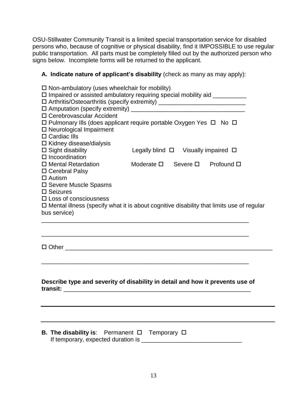OSU-Stillwater Community Transit is a limited special transportation service for disabled persons who, because of cognitive or physical disability, find it IMPOSSIBLE to use regular public transportation. All parts must be completely filled out by the authorized person who signs below. Incomplete forms will be returned to the applicant.

#### **A. Indicate nature of applicant's disability** (check as many as may apply):

| $\Box$ Non-ambulatory (uses wheelchair for mobility)                                                             |                                                     |  |  |                       |  |
|------------------------------------------------------------------------------------------------------------------|-----------------------------------------------------|--|--|-----------------------|--|
| $\square$ Impaired or assisted ambulatory requiring special mobility aid $\_\_$                                  |                                                     |  |  |                       |  |
| □ Arthritis/Osteoarthritis (specify extremity) ________________________________                                  |                                                     |  |  |                       |  |
| □ Cerebrovascular Accident<br>$\Box$ Pulmonary Ills (does applicant require portable Oxygen Yes $\Box$ No $\Box$ |                                                     |  |  |                       |  |
|                                                                                                                  |                                                     |  |  |                       |  |
|                                                                                                                  |                                                     |  |  |                       |  |
| $\Box$ Neurological Impairment                                                                                   |                                                     |  |  |                       |  |
| $\square$ Cardiac IIIs                                                                                           |                                                     |  |  |                       |  |
| $\Box$ Kidney disease/dialysis                                                                                   |                                                     |  |  |                       |  |
| $\square$ Sight disability                                                                                       | Legally blind $\square$ Visually impaired $\square$ |  |  |                       |  |
| $\square$ Incoordination                                                                                         |                                                     |  |  |                       |  |
| $\Box$ Mental Retardation                                                                                        | Moderate $\square$                                  |  |  | Severe ロ   Profound ロ |  |
| □ Cerebral Palsy                                                                                                 |                                                     |  |  |                       |  |
| $\Box$ Autism                                                                                                    |                                                     |  |  |                       |  |
| □ Severe Muscle Spasms                                                                                           |                                                     |  |  |                       |  |
|                                                                                                                  | $\square$ Seizures                                  |  |  |                       |  |
| $\Box$ Loss of consciousness                                                                                     |                                                     |  |  |                       |  |
| $\square$ Mental illness (specify what it is about cognitive disability that limits use of regular               |                                                     |  |  |                       |  |
| bus service)                                                                                                     |                                                     |  |  |                       |  |
|                                                                                                                  |                                                     |  |  |                       |  |
|                                                                                                                  |                                                     |  |  |                       |  |
|                                                                                                                  |                                                     |  |  |                       |  |
| $\square$ Other                                                                                                  |                                                     |  |  |                       |  |

| Describe type and severity of disability in detail and how it prevents use of |  |
|-------------------------------------------------------------------------------|--|
| transit:                                                                      |  |

\_\_\_\_\_\_\_\_\_\_\_\_\_\_\_\_\_\_\_\_\_\_\_\_\_\_\_\_\_\_\_\_\_\_\_\_\_\_\_\_\_\_\_\_\_\_\_\_\_\_\_\_\_\_\_\_\_\_\_\_\_\_

| <b>B. The disability is:</b> Permanent $\Box$ Temporary $\Box$ |  |  |
|----------------------------------------------------------------|--|--|
| If temporary, expected duration is _                           |  |  |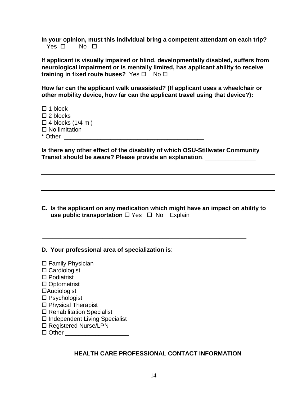**In your opinion, must this individual bring a competent attendant on each trip?**  Yes  $\square$  No  $\square$ 

**If applicant is visually impaired or blind, developmentally disabled, suffers from neurological impairment or is mentally limited, has applicant ability to receive training in fixed route buses?** Yes □ No □

**How far can the applicant walk unassisted? (If applicant uses a wheelchair or other mobility device, how far can the applicant travel using that device?):**

 $\Box$  1 block  $\square$  2 blocks  $\square$  4 blocks (1/4 mi)  $\square$  No limitation \* Other \_\_\_\_\_\_\_\_\_\_\_\_\_\_\_\_\_\_\_\_\_\_\_\_\_\_\_\_\_\_\_\_\_\_\_\_\_\_\_\_\_\_

**Is there any other effect of the disability of which OSU-Stillwater Community Transit should be aware? Please provide an explanation**. \_\_\_\_\_\_\_\_\_\_\_\_\_\_\_

**C. Is the applicant on any medication which might have an impact on ability to use public transportation** □ Yes □ No Explain \_\_\_\_\_\_\_\_\_\_\_\_\_\_\_\_\_\_\_\_\_\_\_\_\_\_\_\_\_\_\_\_\_\_\_

 $\frac{1}{\sqrt{2}}$  ,  $\frac{1}{\sqrt{2}}$  ,  $\frac{1}{\sqrt{2}}$  ,  $\frac{1}{\sqrt{2}}$  ,  $\frac{1}{\sqrt{2}}$  ,  $\frac{1}{\sqrt{2}}$  ,  $\frac{1}{\sqrt{2}}$  ,  $\frac{1}{\sqrt{2}}$  ,  $\frac{1}{\sqrt{2}}$  ,  $\frac{1}{\sqrt{2}}$  ,  $\frac{1}{\sqrt{2}}$  ,  $\frac{1}{\sqrt{2}}$  ,  $\frac{1}{\sqrt{2}}$  ,  $\frac{1}{\sqrt{2}}$  ,  $\frac{1}{\sqrt{2}}$ 

 $\frac{1}{\sqrt{2}}$  ,  $\frac{1}{\sqrt{2}}$  ,  $\frac{1}{\sqrt{2}}$  ,  $\frac{1}{\sqrt{2}}$  ,  $\frac{1}{\sqrt{2}}$  ,  $\frac{1}{\sqrt{2}}$  ,  $\frac{1}{\sqrt{2}}$  ,  $\frac{1}{\sqrt{2}}$  ,  $\frac{1}{\sqrt{2}}$  ,  $\frac{1}{\sqrt{2}}$  ,  $\frac{1}{\sqrt{2}}$  ,  $\frac{1}{\sqrt{2}}$  ,  $\frac{1}{\sqrt{2}}$  ,  $\frac{1}{\sqrt{2}}$  ,  $\frac{1}{\sqrt{2}}$ 

**D. Your professional area of specialization is**:

 Family Physician □ Cardiologist □ Podiatrist □ Optometrist Audiologist □ Psychologist □ Physical Therapist □ Rehabilitation Specialist □ Independent Living Specialist □ Registered Nurse/LPN □ Other \_\_\_\_\_\_\_\_\_\_\_\_\_\_\_\_\_\_\_\_\_\_

#### **HEALTH CARE PROFESSIONAL CONTACT INFORMATION**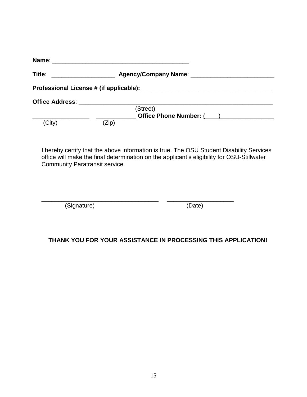| Title:<br><u> 1980 - John Stein, mars and de Brandenberg (b. 19</u>                                                                                                                                                            |       |                         |  |
|--------------------------------------------------------------------------------------------------------------------------------------------------------------------------------------------------------------------------------|-------|-------------------------|--|
|                                                                                                                                                                                                                                |       |                         |  |
| Office Address: The Contract of the Contract of the Contract of the Contract of the Contract of the Contract of the Contract of the Contract of the Contract of the Contract of the Contract of the Contract of the Contract o |       |                         |  |
|                                                                                                                                                                                                                                |       | (Street)                |  |
|                                                                                                                                                                                                                                |       | Office Phone Number: () |  |
| (City)                                                                                                                                                                                                                         | (Zip) |                         |  |

I hereby certify that the above information is true. The OSU Student Disability Services office will make the final determination on the applicant's eligibility for OSU-Stillwater Community Paratransit service.

| (Signature) | (Date) |
|-------------|--------|

#### **THANK YOU FOR YOUR ASSISTANCE IN PROCESSING THIS APPLICATION!**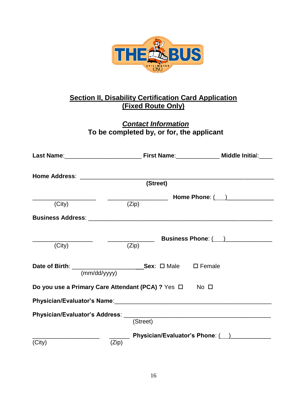

## **Section II, Disability Certification Card Application (Fixed Route Only)**

## *Contact Information* **To be completed by, or for, the applicant**

|              | (Street)                                               |                                 |
|--------------|--------------------------------------------------------|---------------------------------|
|              |                                                        | Home Phone: ( ) ______________  |
| (City)       | (Zip)                                                  |                                 |
|              |                                                        |                                 |
|              |                                                        | Business Phone: ()              |
| (City)       | (Zip)                                                  |                                 |
|              |                                                        |                                 |
| (mm/dd/yyyy) |                                                        |                                 |
|              | Do you use a Primary Care Attendant (PCA) ? Yes □ No □ |                                 |
|              |                                                        |                                 |
|              |                                                        |                                 |
|              | (Street)                                               |                                 |
|              |                                                        | Physician/Evaluator's Phone: () |
| (City)       | (Zip)                                                  |                                 |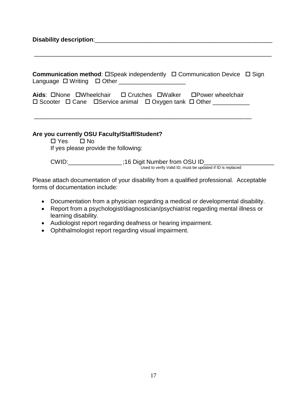| Communication method: □Speak independently □ Communication Device □ Sign<br>Language $\Box$ Writing $\Box$ Other ______________________                                                             |
|-----------------------------------------------------------------------------------------------------------------------------------------------------------------------------------------------------|
| Aids: $\square$ None $\square$ Wheelchair $\square$ Crutches $\square$ Walker $\square$ Power wheelchair<br>$\Box$ Scooter $\Box$ Cane $\Box$ Service animal $\Box$ Oxygen tank $\Box$ Other $\Box$ |
| Are you currently OSU Faculty/Staff/Student?<br>$\Box$ Yes $\Box$ No<br>If yes please provide the following:                                                                                        |
| CWID: _______________;16 Digit Number from OSU ID_______<br>Used to verify Valid ID, must be updated if ID is replaced                                                                              |
| Please attach documentation of your disability from a qualified professional Acceptable                                                                                                             |

Please attach documentation of your disability from a qualified professional. Acceptable forms of documentation include:

- Documentation from a physician regarding a medical or developmental disability.
- Report from a psychologist/diagnostician/psychiatrist regarding mental illness or learning disability.
- Audiologist report regarding deafness or hearing impairment.
- Ophthalmologist report regarding visual impairment.